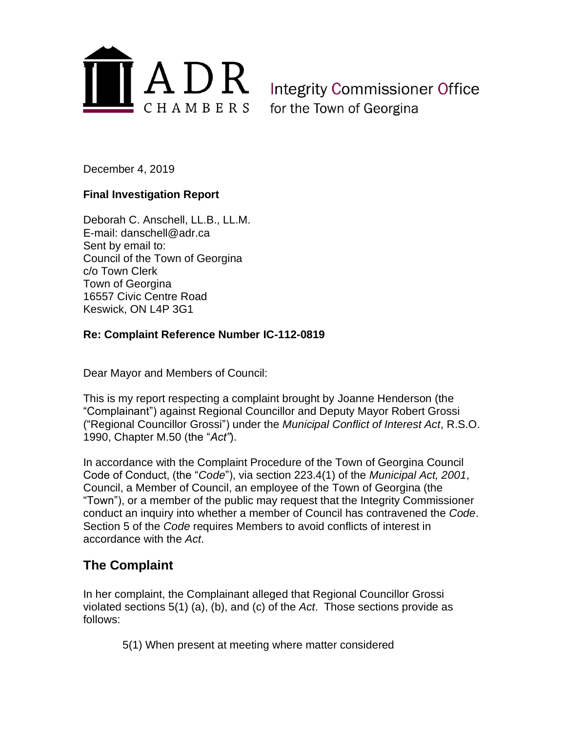

Integrity Commissioner Office for the Town of Georgina

December 4, 2019

#### **Final Investigation Report**

Deborah C. Anschell, LL.B., LL.M. E-mail: danschell@adr.ca Sent by email to: Council of the Town of Georgina c/o Town Clerk Town of Georgina 16557 Civic Centre Road Keswick, ON L4P 3G1

#### **Re: Complaint Reference Number IC-112-0819**

Dear Mayor and Members of Council:

This is my report respecting a complaint brought by Joanne Henderson (the "Complainant") against Regional Councillor and Deputy Mayor Robert Grossi ("Regional Councillor Grossi") under the *Municipal Conflict of Interest Act*, R.S.O. 1990, Chapter M.50 (the "*Act"*).

In accordance with the Complaint Procedure of the Town of Georgina Council Code of Conduct, (the "*Code*"), via section 223.4(1) of the *Municipal Act, 2001*, Council, a Member of Council, an employee of the Town of Georgina (the "Town"), or a member of the public may request that the Integrity Commissioner conduct an inquiry into whether a member of Council has contravened the *Code*. Section 5 of the *Code* requires Members to avoid conflicts of interest in accordance with the *Act*.

## **The Complaint**

In her complaint, the Complainant alleged that Regional Councillor Grossi violated sections 5(1) (a), (b), and (c) of the *Act*. Those sections provide as follows:

5(1) When present at meeting where matter considered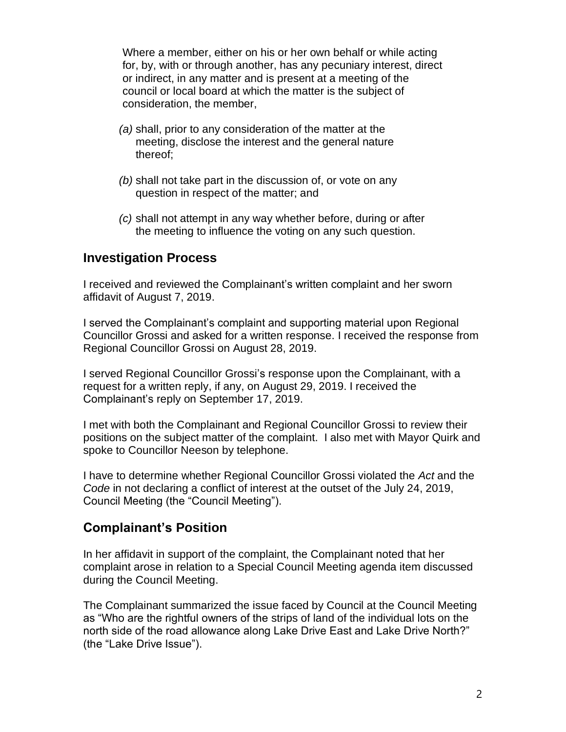Where a member, either on his or her own behalf or while acting for, by, with or through another, has any pecuniary interest, direct or indirect, in any matter and is present at a meeting of the council or local board at which the matter is the subject of consideration, the member,

- *(a)* shall, prior to any consideration of the matter at the meeting, disclose the interest and the general nature thereof;
- *(b)* shall not take part in the discussion of, or vote on any question in respect of the matter; and
- *(c)* shall not attempt in any way whether before, during or after the meeting to influence the voting on any such question.

## **Investigation Process**

I received and reviewed the Complainant's written complaint and her sworn affidavit of August 7, 2019.

I served the Complainant's complaint and supporting material upon Regional Councillor Grossi and asked for a written response. I received the response from Regional Councillor Grossi on August 28, 2019.

I served Regional Councillor Grossi's response upon the Complainant, with a request for a written reply, if any, on August 29, 2019. I received the Complainant's reply on September 17, 2019.

I met with both the Complainant and Regional Councillor Grossi to review their positions on the subject matter of the complaint. I also met with Mayor Quirk and spoke to Councillor Neeson by telephone.

I have to determine whether Regional Councillor Grossi violated the *Act* and the *Code* in not declaring a conflict of interest at the outset of the July 24, 2019, Council Meeting (the "Council Meeting").

## **Complainant's Position**

In her affidavit in support of the complaint, the Complainant noted that her complaint arose in relation to a Special Council Meeting agenda item discussed during the Council Meeting.

The Complainant summarized the issue faced by Council at the Council Meeting as "Who are the rightful owners of the strips of land of the individual lots on the north side of the road allowance along Lake Drive East and Lake Drive North?" (the "Lake Drive Issue").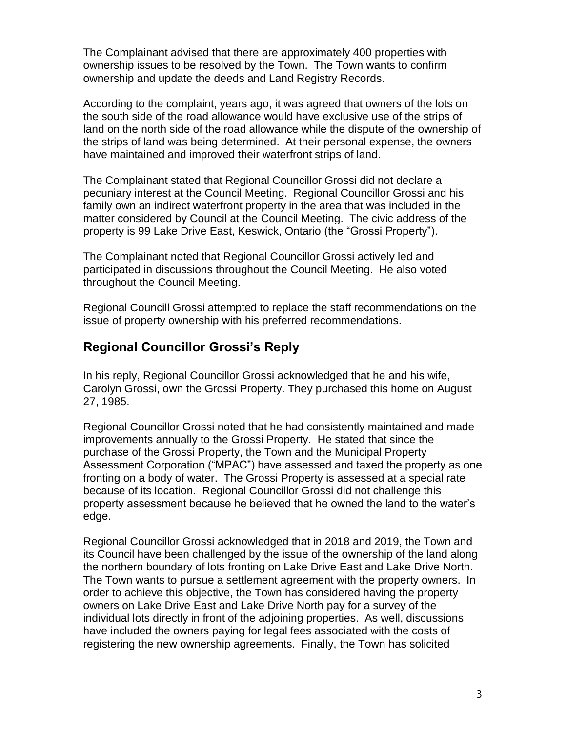The Complainant advised that there are approximately 400 properties with ownership issues to be resolved by the Town. The Town wants to confirm ownership and update the deeds and Land Registry Records.

According to the complaint, years ago, it was agreed that owners of the lots on the south side of the road allowance would have exclusive use of the strips of land on the north side of the road allowance while the dispute of the ownership of the strips of land was being determined. At their personal expense, the owners have maintained and improved their waterfront strips of land.

The Complainant stated that Regional Councillor Grossi did not declare a pecuniary interest at the Council Meeting. Regional Councillor Grossi and his family own an indirect waterfront property in the area that was included in the matter considered by Council at the Council Meeting. The civic address of the property is 99 Lake Drive East, Keswick, Ontario (the "Grossi Property").

The Complainant noted that Regional Councillor Grossi actively led and participated in discussions throughout the Council Meeting. He also voted throughout the Council Meeting.

Regional Councill Grossi attempted to replace the staff recommendations on the issue of property ownership with his preferred recommendations.

# **Regional Councillor Grossi's Reply**

In his reply, Regional Councillor Grossi acknowledged that he and his wife, Carolyn Grossi, own the Grossi Property. They purchased this home on August 27, 1985.

Regional Councillor Grossi noted that he had consistently maintained and made improvements annually to the Grossi Property. He stated that since the purchase of the Grossi Property, the Town and the Municipal Property Assessment Corporation ("MPAC") have assessed and taxed the property as one fronting on a body of water. The Grossi Property is assessed at a special rate because of its location. Regional Councillor Grossi did not challenge this property assessment because he believed that he owned the land to the water's edge.

Regional Councillor Grossi acknowledged that in 2018 and 2019, the Town and its Council have been challenged by the issue of the ownership of the land along the northern boundary of lots fronting on Lake Drive East and Lake Drive North. The Town wants to pursue a settlement agreement with the property owners. In order to achieve this objective, the Town has considered having the property owners on Lake Drive East and Lake Drive North pay for a survey of the individual lots directly in front of the adjoining properties. As well, discussions have included the owners paying for legal fees associated with the costs of registering the new ownership agreements. Finally, the Town has solicited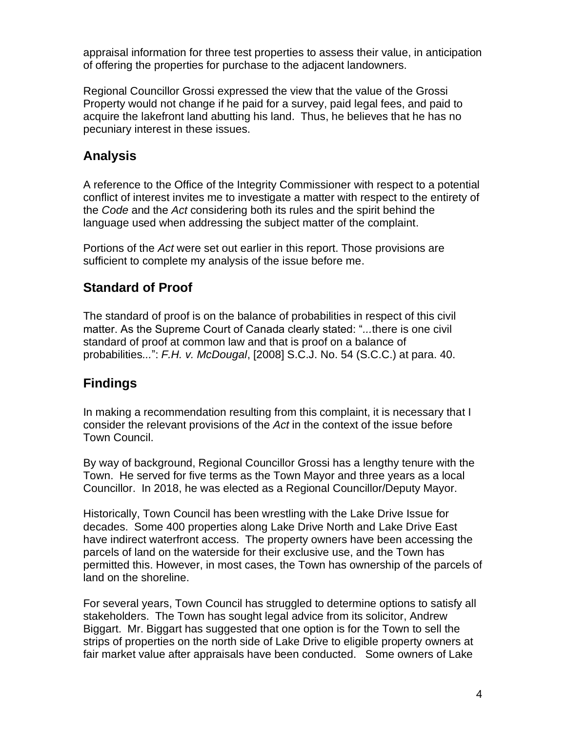appraisal information for three test properties to assess their value, in anticipation of offering the properties for purchase to the adjacent landowners.

Regional Councillor Grossi expressed the view that the value of the Grossi Property would not change if he paid for a survey, paid legal fees, and paid to acquire the lakefront land abutting his land. Thus, he believes that he has no pecuniary interest in these issues.

## **Analysis**

A reference to the Office of the Integrity Commissioner with respect to a potential conflict of interest invites me to investigate a matter with respect to the entirety of the *Code* and the *Act* considering both its rules and the spirit behind the language used when addressing the subject matter of the complaint.

Portions of the *Act* were set out earlier in this report. Those provisions are sufficient to complete my analysis of the issue before me.

#### **Standard of Proof**

The standard of proof is on the balance of probabilities in respect of this civil matter. As the Supreme Court of Canada clearly stated: "*...*there is one civil standard of proof at common law and that is proof on a balance of probabilities*...*": *F.H. v. McDougal*, [2008] S.C.J. No. 54 (S.C.C.) at para. 40.

## **Findings**

In making a recommendation resulting from this complaint, it is necessary that I consider the relevant provisions of the *Act* in the context of the issue before Town Council.

By way of background, Regional Councillor Grossi has a lengthy tenure with the Town. He served for five terms as the Town Mayor and three years as a local Councillor. In 2018, he was elected as a Regional Councillor/Deputy Mayor.

Historically, Town Council has been wrestling with the Lake Drive Issue for decades. Some 400 properties along Lake Drive North and Lake Drive East have indirect waterfront access. The property owners have been accessing the parcels of land on the waterside for their exclusive use, and the Town has permitted this. However, in most cases, the Town has ownership of the parcels of land on the shoreline.

For several years, Town Council has struggled to determine options to satisfy all stakeholders. The Town has sought legal advice from its solicitor, Andrew Biggart. Mr. Biggart has suggested that one option is for the Town to sell the strips of properties on the north side of Lake Drive to eligible property owners at fair market value after appraisals have been conducted. Some owners of Lake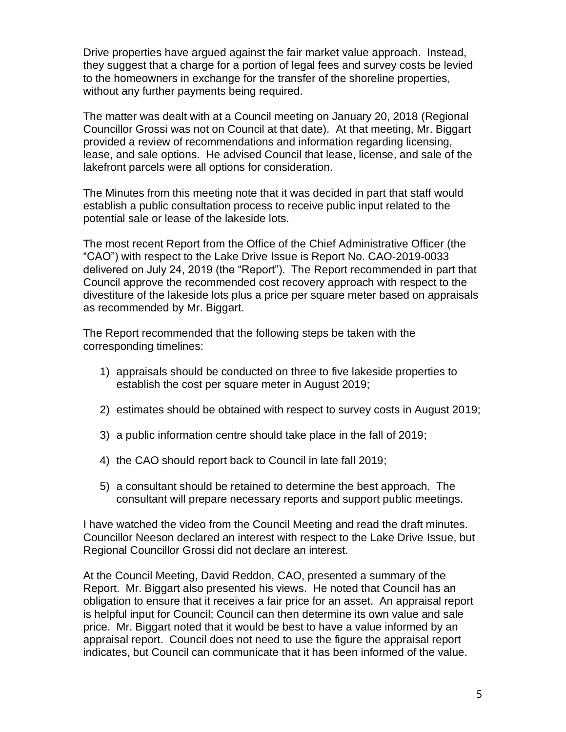Drive properties have argued against the fair market value approach. Instead, they suggest that a charge for a portion of legal fees and survey costs be levied to the homeowners in exchange for the transfer of the shoreline properties, without any further payments being required.

The matter was dealt with at a Council meeting on January 20, 2018 (Regional Councillor Grossi was not on Council at that date). At that meeting, Mr. Biggart provided a review of recommendations and information regarding licensing, lease, and sale options. He advised Council that lease, license, and sale of the lakefront parcels were all options for consideration.

The Minutes from this meeting note that it was decided in part that staff would establish a public consultation process to receive public input related to the potential sale or lease of the lakeside lots.

The most recent Report from the Office of the Chief Administrative Officer (the "CAO") with respect to the Lake Drive Issue is Report No. CAO-2019-0033 delivered on July 24, 2019 (the "Report"). The Report recommended in part that Council approve the recommended cost recovery approach with respect to the divestiture of the lakeside lots plus a price per square meter based on appraisals as recommended by Mr. Biggart.

The Report recommended that the following steps be taken with the corresponding timelines:

- 1) appraisals should be conducted on three to five lakeside properties to establish the cost per square meter in August 2019;
- 2) estimates should be obtained with respect to survey costs in August 2019;
- 3) a public information centre should take place in the fall of 2019;
- 4) the CAO should report back to Council in late fall 2019;
- 5) a consultant should be retained to determine the best approach. The consultant will prepare necessary reports and support public meetings.

I have watched the video from the Council Meeting and read the draft minutes. Councillor Neeson declared an interest with respect to the Lake Drive Issue, but Regional Councillor Grossi did not declare an interest.

At the Council Meeting, David Reddon, CAO, presented a summary of the Report. Mr. Biggart also presented his views. He noted that Council has an obligation to ensure that it receives a fair price for an asset. An appraisal report is helpful input for Council; Council can then determine its own value and sale price. Mr. Biggart noted that it would be best to have a value informed by an appraisal report. Council does not need to use the figure the appraisal report indicates, but Council can communicate that it has been informed of the value.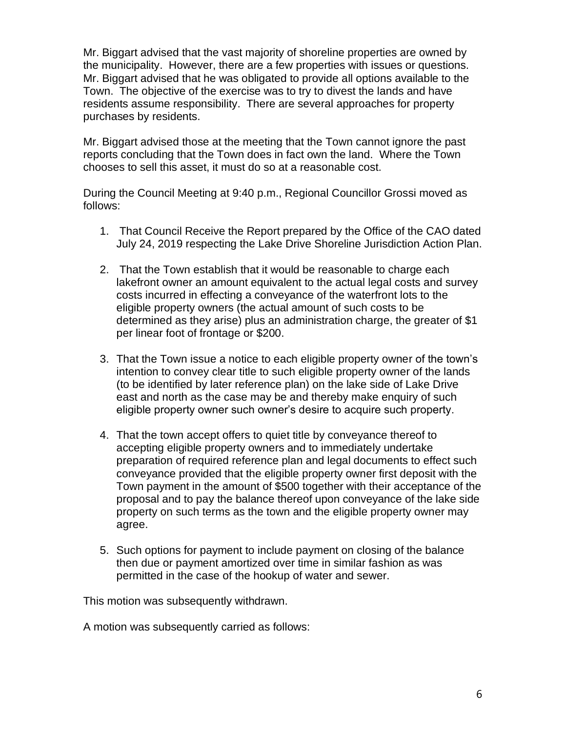Mr. Biggart advised that the vast majority of shoreline properties are owned by the municipality. However, there are a few properties with issues or questions. Mr. Biggart advised that he was obligated to provide all options available to the Town. The objective of the exercise was to try to divest the lands and have residents assume responsibility. There are several approaches for property purchases by residents.

Mr. Biggart advised those at the meeting that the Town cannot ignore the past reports concluding that the Town does in fact own the land. Where the Town chooses to sell this asset, it must do so at a reasonable cost.

During the Council Meeting at 9:40 p.m., Regional Councillor Grossi moved as follows:

- 1. That Council Receive the Report prepared by the Office of the CAO dated July 24, 2019 respecting the Lake Drive Shoreline Jurisdiction Action Plan.
- 2. That the Town establish that it would be reasonable to charge each lakefront owner an amount equivalent to the actual legal costs and survey costs incurred in effecting a conveyance of the waterfront lots to the eligible property owners (the actual amount of such costs to be determined as they arise) plus an administration charge, the greater of \$1 per linear foot of frontage or \$200.
- 3. That the Town issue a notice to each eligible property owner of the town's intention to convey clear title to such eligible property owner of the lands (to be identified by later reference plan) on the lake side of Lake Drive east and north as the case may be and thereby make enquiry of such eligible property owner such owner's desire to acquire such property.
- 4. That the town accept offers to quiet title by conveyance thereof to accepting eligible property owners and to immediately undertake preparation of required reference plan and legal documents to effect such conveyance provided that the eligible property owner first deposit with the Town payment in the amount of \$500 together with their acceptance of the proposal and to pay the balance thereof upon conveyance of the lake side property on such terms as the town and the eligible property owner may agree.
- 5. Such options for payment to include payment on closing of the balance then due or payment amortized over time in similar fashion as was permitted in the case of the hookup of water and sewer.

This motion was subsequently withdrawn.

A motion was subsequently carried as follows: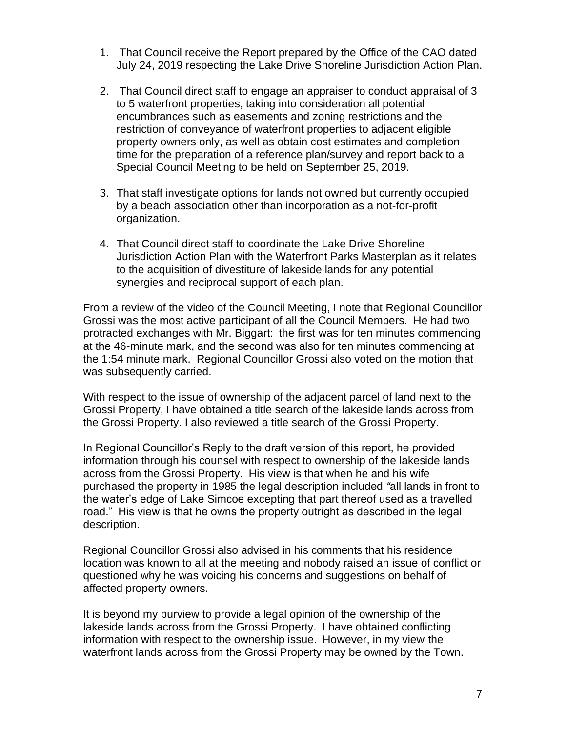- 1. That Council receive the Report prepared by the Office of the CAO dated July 24, 2019 respecting the Lake Drive Shoreline Jurisdiction Action Plan.
- 2. That Council direct staff to engage an appraiser to conduct appraisal of 3 to 5 waterfront properties, taking into consideration all potential encumbrances such as easements and zoning restrictions and the restriction of conveyance of waterfront properties to adjacent eligible property owners only, as well as obtain cost estimates and completion time for the preparation of a reference plan/survey and report back to a Special Council Meeting to be held on September 25, 2019.
- 3. That staff investigate options for lands not owned but currently occupied by a beach association other than incorporation as a not-for-profit organization.
- 4. That Council direct staff to coordinate the Lake Drive Shoreline Jurisdiction Action Plan with the Waterfront Parks Masterplan as it relates to the acquisition of divestiture of lakeside lands for any potential synergies and reciprocal support of each plan.

From a review of the video of the Council Meeting, I note that Regional Councillor Grossi was the most active participant of all the Council Members. He had two protracted exchanges with Mr. Biggart: the first was for ten minutes commencing at the 46-minute mark, and the second was also for ten minutes commencing at the 1:54 minute mark. Regional Councillor Grossi also voted on the motion that was subsequently carried.

With respect to the issue of ownership of the adjacent parcel of land next to the Grossi Property, I have obtained a title search of the lakeside lands across from the Grossi Property. I also reviewed a title search of the Grossi Property.

In Regional Councillor's Reply to the draft version of this report, he provided information through his counsel with respect to ownership of the lakeside lands across from the Grossi Property. His view is that when he and his wife purchased the property in 1985 the legal description included *"*all lands in front to the water's edge of Lake Simcoe excepting that part thereof used as a travelled road." His view is that he owns the property outright as described in the legal description.

Regional Councillor Grossi also advised in his comments that his residence location was known to all at the meeting and nobody raised an issue of conflict or questioned why he was voicing his concerns and suggestions on behalf of affected property owners.

It is beyond my purview to provide a legal opinion of the ownership of the lakeside lands across from the Grossi Property. I have obtained conflicting information with respect to the ownership issue. However, in my view the waterfront lands across from the Grossi Property may be owned by the Town.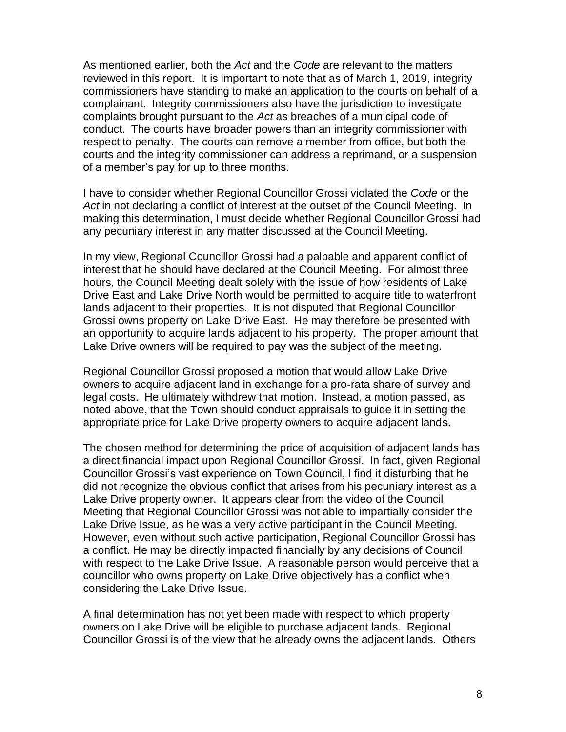As mentioned earlier, both the *Act* and the *Code* are relevant to the matters reviewed in this report. It is important to note that as of March 1, 2019, integrity commissioners have standing to make an application to the courts on behalf of a complainant. Integrity commissioners also have the jurisdiction to investigate complaints brought pursuant to the *Act* as breaches of a municipal code of conduct. The courts have broader powers than an integrity commissioner with respect to penalty. The courts can remove a member from office, but both the courts and the integrity commissioner can address a reprimand, or a suspension of a member's pay for up to three months.

I have to consider whether Regional Councillor Grossi violated the *Code* or the *Act* in not declaring a conflict of interest at the outset of the Council Meeting. In making this determination, I must decide whether Regional Councillor Grossi had any pecuniary interest in any matter discussed at the Council Meeting.

In my view, Regional Councillor Grossi had a palpable and apparent conflict of interest that he should have declared at the Council Meeting. For almost three hours, the Council Meeting dealt solely with the issue of how residents of Lake Drive East and Lake Drive North would be permitted to acquire title to waterfront lands adjacent to their properties. It is not disputed that Regional Councillor Grossi owns property on Lake Drive East. He may therefore be presented with an opportunity to acquire lands adjacent to his property. The proper amount that Lake Drive owners will be required to pay was the subject of the meeting.

Regional Councillor Grossi proposed a motion that would allow Lake Drive owners to acquire adjacent land in exchange for a pro-rata share of survey and legal costs. He ultimately withdrew that motion. Instead, a motion passed, as noted above, that the Town should conduct appraisals to guide it in setting the appropriate price for Lake Drive property owners to acquire adjacent lands.

The chosen method for determining the price of acquisition of adjacent lands has a direct financial impact upon Regional Councillor Grossi. In fact, given Regional Councillor Grossi's vast experience on Town Council, I find it disturbing that he did not recognize the obvious conflict that arises from his pecuniary interest as a Lake Drive property owner. It appears clear from the video of the Council Meeting that Regional Councillor Grossi was not able to impartially consider the Lake Drive Issue, as he was a very active participant in the Council Meeting. However, even without such active participation, Regional Councillor Grossi has a conflict. He may be directly impacted financially by any decisions of Council with respect to the Lake Drive Issue. A reasonable person would perceive that a councillor who owns property on Lake Drive objectively has a conflict when considering the Lake Drive Issue.

A final determination has not yet been made with respect to which property owners on Lake Drive will be eligible to purchase adjacent lands. Regional Councillor Grossi is of the view that he already owns the adjacent lands. Others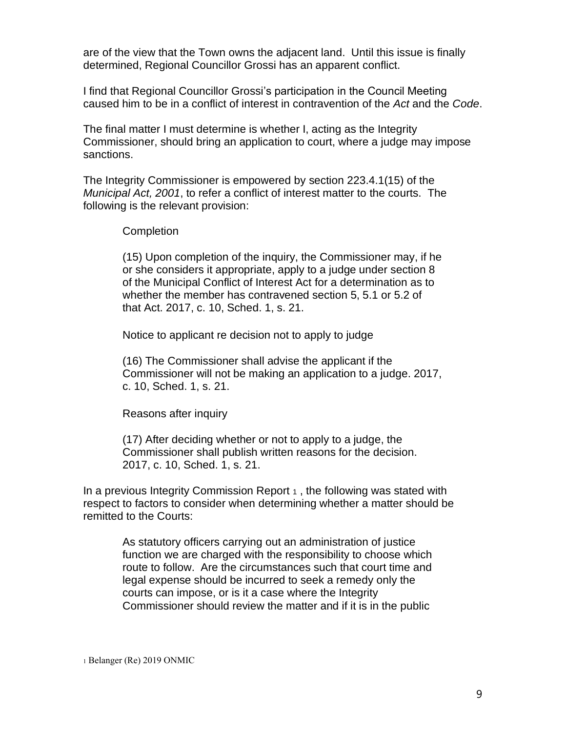are of the view that the Town owns the adjacent land. Until this issue is finally determined, Regional Councillor Grossi has an apparent conflict.

I find that Regional Councillor Grossi's participation in the Council Meeting caused him to be in a conflict of interest in contravention of the *Act* and the *Code*.

The final matter I must determine is whether I, acting as the Integrity Commissioner, should bring an application to court, where a judge may impose sanctions.

The Integrity Commissioner is empowered by section 223.4.1(15) of the *Municipal Act, 2001*, to refer a conflict of interest matter to the courts. The following is the relevant provision:

#### **Completion**

(15) Upon completion of the inquiry, the Commissioner may, if he or she considers it appropriate, apply to a judge under section 8 of the Municipal Conflict of Interest Act for a determination as to whether the member has contravened section 5, 5.1 or 5.2 of that Act. 2017, c. 10, Sched. 1, s. 21.

Notice to applicant re decision not to apply to judge

(16) The Commissioner shall advise the applicant if the Commissioner will not be making an application to a judge. 2017, c. 10, Sched. 1, s. 21.

Reasons after inquiry

(17) After deciding whether or not to apply to a judge, the Commissioner shall publish written reasons for the decision. 2017, c. 10, Sched. 1, s. 21.

In a previous Integrity Commission Report  $\alpha$ , the following was stated with respect to factors to consider when determining whether a matter should be remitted to the Courts:

> As statutory officers carrying out an administration of justice function we are charged with the responsibility to choose which route to follow. Are the circumstances such that court time and legal expense should be incurred to seek a remedy only the courts can impose, or is it a case where the Integrity Commissioner should review the matter and if it is in the public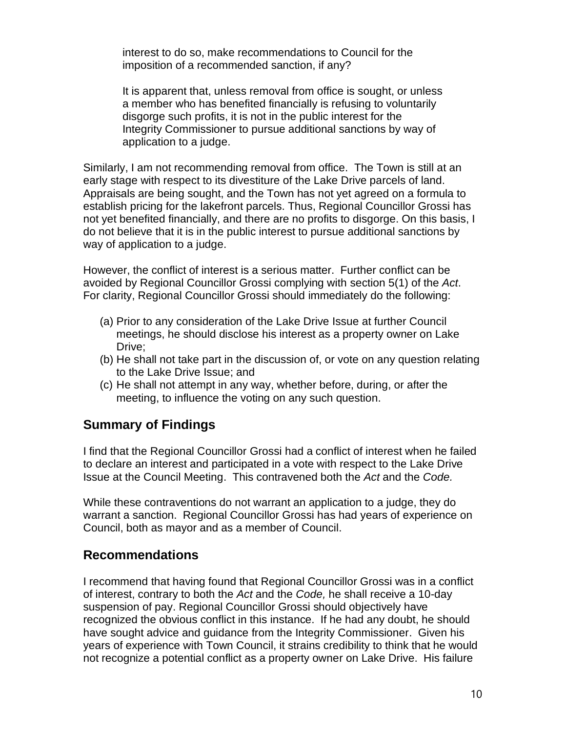interest to do so, make recommendations to Council for the imposition of a recommended sanction, if any?

It is apparent that, unless removal from office is sought, or unless a member who has benefited financially is refusing to voluntarily disgorge such profits, it is not in the public interest for the Integrity Commissioner to pursue additional sanctions by way of application to a judge.

Similarly, I am not recommending removal from office. The Town is still at an early stage with respect to its divestiture of the Lake Drive parcels of land. Appraisals are being sought, and the Town has not yet agreed on a formula to establish pricing for the lakefront parcels. Thus, Regional Councillor Grossi has not yet benefited financially, and there are no profits to disgorge. On this basis, I do not believe that it is in the public interest to pursue additional sanctions by way of application to a judge.

However, the conflict of interest is a serious matter. Further conflict can be avoided by Regional Councillor Grossi complying with section 5(1) of the *Act*. For clarity, Regional Councillor Grossi should immediately do the following:

- (a) Prior to any consideration of the Lake Drive Issue at further Council meetings, he should disclose his interest as a property owner on Lake Drive:
- (b) He shall not take part in the discussion of, or vote on any question relating to the Lake Drive Issue; and
- (c) He shall not attempt in any way, whether before, during, or after the meeting, to influence the voting on any such question.

## **Summary of Findings**

I find that the Regional Councillor Grossi had a conflict of interest when he failed to declare an interest and participated in a vote with respect to the Lake Drive Issue at the Council Meeting. This contravened both the *Act* and the *Code.*

While these contraventions do not warrant an application to a judge, they do warrant a sanction. Regional Councillor Grossi has had years of experience on Council, both as mayor and as a member of Council.

## **Recommendations**

I recommend that having found that Regional Councillor Grossi was in a conflict of interest, contrary to both the *Act* and the *Code,* he shall receive a 10-day suspension of pay. Regional Councillor Grossi should objectively have recognized the obvious conflict in this instance. If he had any doubt, he should have sought advice and guidance from the Integrity Commissioner. Given his years of experience with Town Council, it strains credibility to think that he would not recognize a potential conflict as a property owner on Lake Drive. His failure